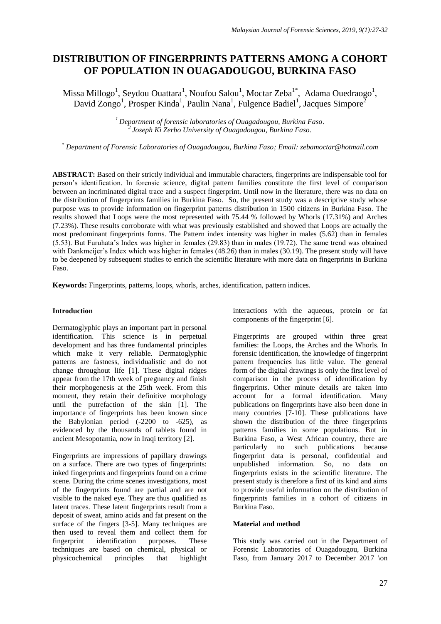# **DISTRIBUTION OF FINGERPRINTS PATTERNS AMONG A COHORT OF POPULATION IN OUAGADOUGOU, BURKINA FASO**

Missa Millogo<sup>1</sup>, Seydou Ouattara<sup>1</sup>, Noufou Salou<sup>1</sup>, Moctar Zeba<sup>1\*</sup>, Adama Ouedraogo<sup>1</sup>, David Zongo<sup>1</sup>, Prosper Kinda<sup>1</sup>, Paulin Nana<sup>1</sup>, Fulgence Badiel<sup>1</sup>, Jacques Simpore<sup>2</sup>

> *<sup>1</sup>Department of forensic laboratories of Ouagadougou, Burkina Faso. 2 Joseph Ki Zerbo University of Ouagadougou, Burkina Faso.*

*\* Department of Forensic Laboratories of Ouagadougou, Burkina Faso; Email: zebamoctar@hotmail.com*

**ABSTRACT:** Based on their strictly individual and immutable characters, fingerprints are indispensable tool for person's identification. In forensic science, digital pattern families constitute the first level of comparison between an incriminated digital trace and a suspect fingerprint. Until now in the literature, there was no data on the distribution of fingerprints families in Burkina Faso. So, the present study was a descriptive study whose purpose was to provide information on fingerprint patterns distribution in 1500 citizens in Burkina Faso. The results showed that Loops were the most represented with 75.44 % followed by Whorls (17.31%) and Arches (7.23%). These results corroborate with what was previously established and showed that Loops are actually the most predominant fingerprints forms. The Pattern index intensity was higher in males (5.62) than in females (5.53). But Furuhata's Index was higher in females (29.83) than in males (19.72). The same trend was obtained with Dankmeijer's Index which was higher in females (48.26) than in males (30.19). The present study will have to be deepened by subsequent studies to enrich the scientific literature with more data on fingerprints in Burkina Faso.

**Keywords:** Fingerprints, patterns, loops, whorls, arches, identification, pattern indices.

## **Introduction**

Dermatoglyphic plays an important part in personal identification. This science is in perpetual development and has three fundamental principles which make it very reliable. Dermatoglyphic patterns are fastness, individualistic and do not change throughout life [1]. These digital ridges appear from the 17th week of pregnancy and finish their morphogenesis at the 25th week. From this moment, they retain their definitive morphology until the putrefaction of the skin [1]. The importance of fingerprints has been known since the Babylonian period  $(-2200 \text{ to } -625)$ , as evidenced by the thousands of tablets found in ancient Mesopotamia, now in Iraqi territory [2].

Fingerprints are impressions of papillary drawings on a surface. There are two types of fingerprints: inked fingerprints and fingerprints found on a crime scene. During the crime scenes investigations, most of the fingerprints found are partial and are not visible to the naked eye. They are thus qualified as latent traces. These latent fingerprints result from a deposit of sweat, amino acids and fat present on the surface of the fingers [3-5]. Many techniques are then used to reveal them and collect them for fingerprint identification purposes. These techniques are based on chemical, physical or physicochemical principles that highlight

interactions with the aqueous, protein or fat components of the fingerprint [6].

Fingerprints are grouped within three great families: the Loops, the Arches and the Whorls. In forensic identification, the knowledge of fingerprint pattern frequencies has little value. The general form of the digital drawings is only the first level of comparison in the process of identification by fingerprints. Other minute details are taken into account for a formal identification. Many publications on fingerprints have also been done in many countries [7-10]. These publications have shown the distribution of the three fingerprints patterns families in some populations. But in Burkina Faso, a West African country, there are particularly no such publications because fingerprint data is personal, confidential and unpublished information. So, no data on fingerprints exists in the scientific literature. The present study is therefore a first of its kind and aims to provide useful information on the distribution of fingerprints families in a cohort of citizens in Burkina Faso.

## **Material and method**

This study was carried out in the Department of Forensic Laboratories of Ouagadougou, Burkina Faso, from January 2017 to December 2017 \on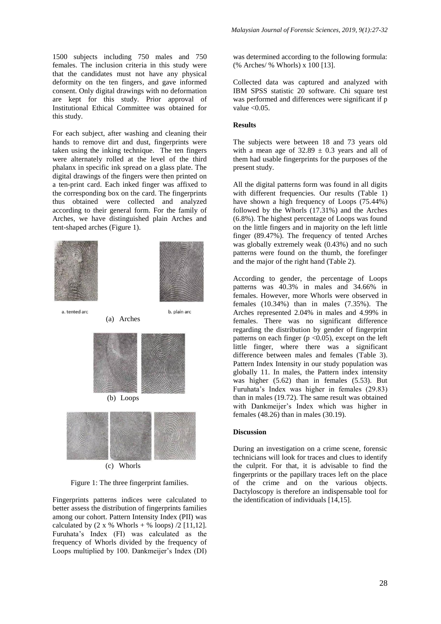1500 subjects including 750 males and 750 females. The inclusion criteria in this study were that the candidates must not have any physical deformity on the ten fingers, and gave informed consent. Only digital drawings with no deformation are kept for this study. Prior approval of Institutional Ethical Committee was obtained for this study.

For each subject, after washing and cleaning their hands to remove dirt and dust, fingerprints were taken using the inking technique. The ten fingers were alternately rolled at the level of the third phalanx in specific ink spread on a glass plate. The digital drawings of the fingers were then printed on a ten-print card. Each inked finger was affixed to the corresponding box on the card. The fingerprints thus obtained were collected and analyzed according to their general form. For the family of Arches, we have distinguished plain Arches and tent-shaped arches (Figure 1).



a. tented ard



b. plain arc

(a) Arches (b) Loops

(c) Whorls

Figure 1: The three fingerprint families.

Fingerprints patterns indices were calculated to better assess the distribution of fingerprints families among our cohort. Pattern Intensity Index (PII) was calculated by  $(2 \times %$  Whorls + % loops)  $/2$  [11,12]. Furuhata's Index (FI) was calculated as the frequency of Whorls divided by the frequency of Loops multiplied by 100. Dankmeijer's Index (DI) was determined according to the following formula: (% Arches/ % Whorls) x 100 [13].

Collected data was captured and analyzed with IBM SPSS statistic 20 software. Chi square test was performed and differences were significant if p value  $< 0.05$ .

## **Results**

The subjects were between 18 and 73 years old with a mean age of  $32.89 \pm 0.3$  years and all of them had usable fingerprints for the purposes of the present study.

All the digital patterns form was found in all digits with different frequencies. Our results (Table 1) have shown a high frequency of Loops (75.44%) followed by the Whorls (17.31%) and the Arches (6.8%). The highest percentage of Loops was found on the little fingers and in majority on the left little finger (89.47%). The frequency of tented Arches was globally extremely weak (0.43%) and no such patterns were found on the thumb, the forefinger and the major of the right hand (Table 2).

According to gender, the percentage of Loops patterns was 40.3% in males and 34.66% in females. However, more Whorls were observed in females (10.34%) than in males (7.35%). The Arches represented 2.04% in males and 4.99% in females. There was no significant difference regarding the distribution by gender of fingerprint patterns on each finger ( $p \le 0.05$ ), except on the left little finger, where there was a significant difference between males and females (Table 3). Pattern Index Intensity in our study population was globally 11. In males, the Pattern index intensity was higher (5.62) than in females (5.53). But Furuhata's Index was higher in females (29.83) than in males (19.72). The same result was obtained with Dankmeijer's Index which was higher in females (48.26) than in males (30.19).

#### **Discussion**

During an investigation on a crime scene, forensic technicians will look for traces and clues to identify the culprit. For that, it is advisable to find the fingerprints or the papillary traces left on the place of the crime and on the various objects. Dactyloscopy is therefore an indispensable tool for the identification of individuals [14,15].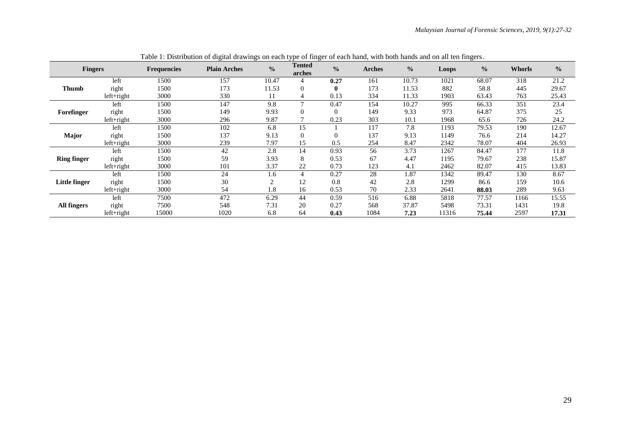| <b>Fingers</b>       |              | <b>Frequencies</b> | <b>Plain Arches</b> | $\frac{0}{0}$  | <b>Tented</b><br>arches | $\frac{0}{0}$  | <b>Arches</b> | $\frac{0}{0}$ | Loops | $\frac{0}{0}$ | Whorls | $\frac{0}{0}$ |
|----------------------|--------------|--------------------|---------------------|----------------|-------------------------|----------------|---------------|---------------|-------|---------------|--------|---------------|
| Thumb                | left         | 1500               | 157                 | 10.47          | 4                       | 0.27           | 161           | 10.73         | 1021  | 68.07         | 318    | 21.2          |
|                      | right        | 1500               | 173                 | 11.53          | $\Omega$                | $\mathbf{0}$   | 173           | 11.53         | 882   | 58.8          | 445    | 29.67         |
|                      | $left+right$ | 3000               | 330                 | 11             | 4                       | 0.13           | 334           | 11.33         | 1903  | 63.43         | 763    | 25.43         |
| Forefinger           | left         | 1500               | 147                 | 9.8            |                         | 0.47           | 154           | 10.27         | 995   | 66.33         | 351    | 23.4          |
|                      | right        | 1500               | 149                 | 9.93           | $\Omega$                | $\overline{0}$ | 149           | 9.33          | 973   | 64.87         | 375    | 25            |
|                      | $left+right$ | 3000               | 296                 | 9.87           |                         | 0.23           | 303           | 10.1          | 1968  | 65.6          | 726    | 24.2          |
| Major                | left         | 1500               | 102                 | 6.8            | 15                      |                | 117           | 7.8           | 1193  | 79.53         | 190    | 12.67         |
|                      | right        | 1500               | 137                 | 9.13           | $\Omega$                | $\Omega$       | 137           | 9.13          | 1149  | 76.6          | 214    | 14.27         |
|                      | $left+right$ | 3000               | 239                 | 7.97           | 15                      | 0.5            | 254           | 8.47          | 2342  | 78.07         | 404    | 26.93         |
| <b>Ring finger</b>   | left         | 1500               | 42                  | 2.8            | 14                      | 0.93           | 56            | 3.73          | 1267  | 84.47         | 177    | 11.8          |
|                      | right        | 1500               | 59                  | 3.93           | 8                       | 0.53           | 67            | 4.47          | 1195  | 79.67         | 238    | 15.87         |
|                      | $left+right$ | 3000               | 101                 | 3.37           | 22                      | 0.73           | 123           | 4.1           | 2462  | 82.07         | 415    | 13.83         |
| <b>Little finger</b> | left         | 1500               | 24                  | 1.6            | 4                       | 0.27           | 28            | 1.87          | 1342  | 89.47         | 130    | 8.67          |
|                      | right        | 1500               | 30                  | $\mathfrak{D}$ | 12                      | 0.8            | 42            | 2.8           | 1299  | 86.6          | 159    | 10.6          |
|                      | $left+right$ | 3000               | 54                  | 1.8            | 16                      | 0.53           | 70            | 2.33          | 2641  | 88.03         | 289    | 9.63          |
| <b>All fingers</b>   | left         | 7500               | 472                 | 6.29           | 44                      | 0.59           | 516           | 6.88          | 5818  | 77.57         | 1166   | 15.55         |
|                      | right        | 7500               | 548                 | 7.31           | 20                      | 0.27           | 568           | 37.87         | 5498  | 73.31         | 1431   | 19.8          |
|                      | $left+right$ | 15000              | 1020                | 6.8            | 64                      | 0.43           | 1084          | 7.23          | 11316 | 75.44         | 2597   | 17.31         |

Table 1: Distribution of digital drawings on each type of finger of each hand, with both hands and on all ten fingers.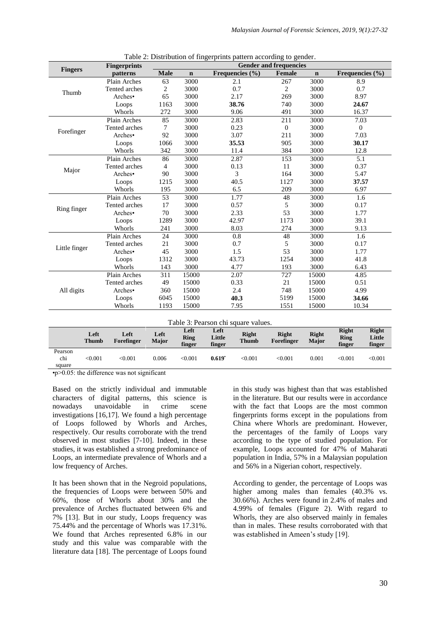|                                     | <b>Fingerprints</b> | <b>Gender and frequencies</b> |             |                      |                        |              |                              |  |
|-------------------------------------|---------------------|-------------------------------|-------------|----------------------|------------------------|--------------|------------------------------|--|
| <b>Fingers</b>                      | patterns            | <b>Male</b>                   | $\mathbf n$ | Frequencies (%)      | Female                 | $\mathbf n$  | Frequencies (%)              |  |
|                                     | Plain Arches        | 63                            | 3000        | 2.1                  | 267                    | 3000         | 8.9                          |  |
| Thumb                               | Tented arches       | $\overline{c}$                | 3000        | 0.7                  | $\overline{2}$<br>3000 |              | 0.7                          |  |
|                                     | Arches•             | 65                            | 3000        | 2.17                 | 269                    | 3000         | 8.97                         |  |
|                                     | Loops               | 1163                          | 3000        | 38.76                | 740                    | 3000         | 24.67                        |  |
|                                     | Whorls              | 272                           | 3000        | 9.06                 | 491                    | 3000         | 16.37                        |  |
|                                     | Plain Arches        | 85                            | 3000        | 2.83                 | 211                    | 3000         | 7.03                         |  |
| Forefinger                          | Tented arches       | 7                             | 3000        | 0.23                 | $\mathbf{0}$           | 3000         | $\mathbf{0}$                 |  |
|                                     | Arches•             | 92                            | 3000        | 3.07                 | 211                    | 3000         | 7.03                         |  |
|                                     | Loops               | 1066                          | 3000        | 35.53                | 905                    | 3000         | 30.17                        |  |
|                                     | Whorls              | 342                           | 3000        | 11.4                 | 384                    | 3000         | 12.8                         |  |
|                                     | Plain Arches        | 86                            | 3000        | 2.87                 | 153                    | 3000         | 5.1                          |  |
|                                     | Tented arches       | 4                             | 3000        | 0.13                 | 11                     | 3000         | 0.37                         |  |
| Major                               | Arches•             | 90                            | 3000        | 3                    | 164                    | 3000         | 5.47                         |  |
|                                     | Loops               | 1215                          | 3000        | 40.5                 | 1127                   | 3000         | 37.57                        |  |
|                                     | Whorls              | 195                           | 3000        | 6.5                  | 209                    | 3000         | 6.97                         |  |
|                                     | Plain Arches        | 53                            | 3000        | 1.77                 | 48                     | 3000         | 1.6                          |  |
| Ring finger                         | Tented arches       | 17                            | 3000        | 0.57                 | 5                      | 3000         | 0.17                         |  |
|                                     | Arches•             | 70                            | 3000        | 2.33                 | 53                     | 3000         | 1.77                         |  |
|                                     | Loops               | 1289                          | 3000        | 42.97                | 1173                   | 3000         | 39.1                         |  |
|                                     | Whorls              | 241                           | 3000        | 8.03                 | 274                    | 3000         | 9.13                         |  |
|                                     | Plain Arches        | 24                            | 3000        | 0.8                  | 48                     | 3000         | 1.6                          |  |
|                                     | Tented arches       | 21                            | 3000        | 0.7                  | 5                      | 3000         | 0.17                         |  |
| Little finger                       | Arches•             | 45                            | 3000        | 1.5                  | 53                     | 3000         | 1.77                         |  |
|                                     | Loops               | 1312                          | 3000        | 43.73                | 1254                   | 3000         | 41.8                         |  |
|                                     | Whorls              | 143                           | 3000        | 4.77                 | 193                    | 3000         | 6.43                         |  |
|                                     | Plain Arches        | 311                           | 15000       | 2.07                 | 727                    | 15000        | 4.85                         |  |
|                                     | Tented arches       | 49                            | 15000       | 0.33                 | 21                     | 15000        | 0.51                         |  |
| All digits                          | Arches•             | 360                           | 15000       | 2.4                  | 748                    | 15000        | 4.99                         |  |
|                                     | Loops               | 6045                          | 15000       | 40.3                 | 5199                   | 15000        | 34.66                        |  |
|                                     | Whorls              | 1193                          | 15000       | 7.95                 | 1551                   | 15000        | 10.34                        |  |
| Table 3: Pearson chi square values. |                     |                               |             |                      |                        |              |                              |  |
| Left                                | Left                | Left                          | Left        | Left<br><b>Right</b> | <b>Right</b>           | <b>Right</b> | <b>Right</b><br><b>Right</b> |  |

|  |  | Table 2: Distribution of fingerprints pattern according to gender. |  |
|--|--|--------------------------------------------------------------------|--|
|  |  |                                                                    |  |

**Left Thumb Left Forefinger Left Major Ring finger Little finger Right Thumb Right Forefinger Right Major Ring finger Little finger** Pearson chi square <0.001 <0.001 0.006 <0.001 **0.619•** <0.001 <0.001 0.001 <0.001 <0.001

•p>0.05: the difference was not significant

Based on the strictly individual and immutable characters of digital patterns, this science is nowadays unavoidable in crime scene investigations [16,17]. We found a high percentage of Loops followed by Whorls and Arches, respectively. Our results corroborate with the trend observed in most studies [7-10]. Indeed, in these studies, it was established a strong predominance of Loops, an intermediate prevalence of Whorls and a low frequency of Arches.

It has been shown that in the Negroid populations, the frequencies of Loops were between 50% and 60%, those of Whorls about 30% and the prevalence of Arches fluctuated between 6% and 7% [13]. But in our study, Loops frequency was 75.44% and the percentage of Whorls was 17.31%. We found that Arches represented 6.8% in our study and this value was comparable with the literature data [18]. The percentage of Loops found

in this study was highest than that was established in the literature. But our results were in accordance with the fact that Loops are the most common fingerprints forms except in the populations from China where Whorls are predominant. However, the percentages of the family of Loops vary according to the type of studied population. For example, Loops accounted for 47% of Maharati population in India, 57% in a Malaysian population and 56% in a Nigerian cohort, respectively.

According to gender, the percentage of Loops was higher among males than females (40.3% vs. 30.66%). Arches were found in 2.4% of males and 4.99% of females (Figure 2). With regard to Whorls, they are also observed mainly in females than in males. These results corroborated with that was established in Ameen's study [19].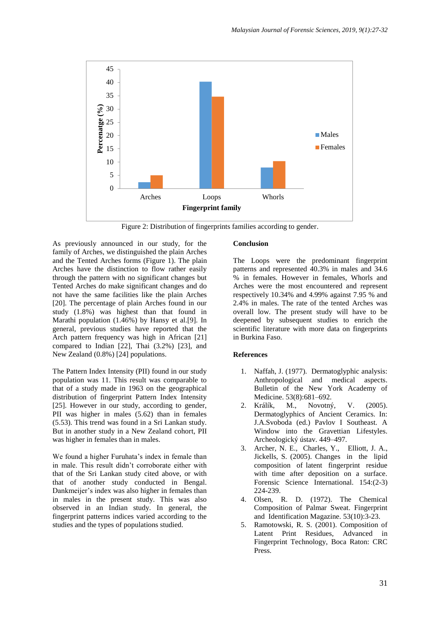

Figure 2: Distribution of fingerprints families according to gender.

As previously announced in our study, for the family of Arches, we distinguished the plain Arches and the Tented Arches forms (Figure 1). The plain Arches have the distinction to flow rather easily through the pattern with no significant changes but Tented Arches do make significant changes and do not have the same facilities like the plain Arches [20]. The percentage of plain Arches found in our study (1.8%) was highest than that found in Marathi population (1.46%) by Hansy et al.[9]. In general, previous studies have reported that the Arch pattern frequency was high in African [21] compared to Indian [22], Thai (3.2%) [23], and New Zealand (0.8%) [24] populations.

The Pattern Index Intensity (PII) found in our study population was 11. This result was comparable to that of a study made in 1963 on the geographical distribution of fingerprint Pattern Index Intensity [25]. However in our study, according to gender, PII was higher in males (5.62) than in females (5.53). This trend was found in a Sri Lankan study. But in another study in a New Zealand cohort, PII was higher in females than in males.

We found a higher Furuhata's index in female than in male. This result didn't corroborate either with that of the Sri Lankan study cited above, or with that of another study conducted in Bengal. Dankmeijer's index was also higher in females than in males in the present study. This was also observed in an Indian study. In general, the fingerprint patterns indices varied according to the studies and the types of populations studied.

#### **Conclusion**

The Loops were the predominant fingerprint patterns and represented 40.3% in males and 34.6 % in females. However in females, Whorls and Arches were the most encountered and represent respectively 10.34% and 4.99% against 7.95 % and 2.4% in males. The rate of the tented Arches was overall low. The present study will have to be deepened by subsequent studies to enrich the scientific literature with more data on fingerprints in Burkina Faso.

#### **References**

- 1. Naffah, J. (1977). Dermatoglyphic analysis: Anthropological and medical aspects. Bulletin of the New York Academy of Medicine. 53(8):681–692.
- 2. Králík, M., Novotný, V. (2005). Dermatoglyphics of Ancient Ceramics. In: J.A.Svoboda (ed.) Pavlov I Southeast. A Window into the Gravettian Lifestyles. Archeologický ústav. 449–497.
- 3. Archer, N. E., Charles, Y., Elliott, J. A., Jickells, S. (2005). Changes in the lipid composition of latent fingerprint residue with time after deposition on a surface. Forensic Science International. 154:(2-3) 224-239.
- 4. Olsen, R. D. (1972). The Chemical Composition of Palmar Sweat. Fingerprint and Identification Magazine. 53(10):3-23.
- 5. Ramotowski, R. S. (2001). Composition of Latent Print Residues, Advanced in Fingerprint Technology, Boca Raton: CRC Press.